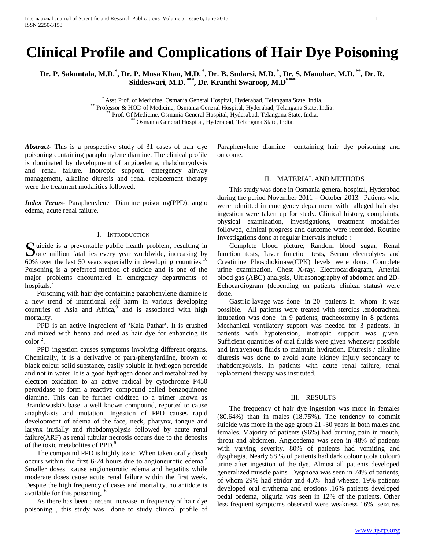# **Clinical Profile and Complications of Hair Dye Poisoning**

**Dr. P. Sakuntala, M.D.\* , Dr. P. Musa Khan, M.D. \* , Dr. B. Sudarsi, M.D. \* , Dr. S. Manohar, M.D. \*\*, Dr. R. Siddeswari, M.D. \*\*\*, Dr. Kranthi Swaroop, M.D\*\*\*\***

Asst Prof. of Medicine, Osmania General Hospital, Hyderabad, Telangana State, India.<br>
\*\* Professor & HOD of Medicine, Osmania General Hospital, Hyderabad, Telangana State, India.<br>
\*\* Prof. Of Medicine, Osmania General Hosp

*Abstract***-** This is a prospective study of 31 cases of hair dye poisoning containing paraphenylene diamine. The clinical profile is dominated by development of angioedema, rhabdomyolysis and renal failure. Inotropic support, emergency airway management, alkaline diuresis and renal replacement therapy were the treatment modalities followed.

*Index Terms*- Paraphenylene Diamine poisoning(PPD), angio edema, acute renal failure.

## I. INTRODUCTION

uicide is a preventable public health problem, resulting in Solution is a preventable public health problem, resulting in<br>Solution fatalities every year worldwide, increasing by<br> $\frac{10}{10}$ 60% over the last 50 years especially in developing countries.<sup>10</sup> Poisoning is a preferred method of suicide and is one of the major problems encountered in emergency departments of hospitals.<sup>7</sup>

 Poisoning with hair dye containing paraphenylene diamine is a new trend of intentional self harm in various developing countries of Asia and Africa,<sup>9</sup> and is associated with high mortality.<sup>1</sup>

 PPD is an active ingredient of 'Kala Pathar'. It is crushed and mixed with henna and used as hair dye for enhancing its  $\text{color}^2$ .

 PPD ingestion causes symptoms involving different organs. Chemically, it is a derivative of para-phenylaniline, brown or black colour solid substance, easily soluble in hydrogen peroxide and not in water. It is a good hydrogen donor and metabolized by electron oxidation to an active radical by cytochrome P450 peroxidase to form a reactive compound called benzoquinone diamine. This can be further oxidized to a trimer known as Brandowaski's base, a well known compound, reported to cause anaphylaxis and mutation. Ingestion of PPD causes rapid development of edema of the face, neck, pharynx, tongue and larynx initially and rhabdomyolysis followed by acute renal failure(ARF) as renal tubular necrosis occurs due to the deposits of the toxic metabolites of PPD.<sup>8</sup>

 The compound PPD is highly toxic. When taken orally death occurs within the first 6-24 hours due to angioneurotic edema.<sup>2</sup> Smaller doses cause angioneurotic edema and hepatitis while moderate doses cause acute renal failure within the first week. Despite the high frequency of cases and mortality, no antidote is available for this poisoning. 6

 As there has been a recent increase in frequency of hair dye poisoning , this study was done to study clinical profile of

Paraphenylene diamine containing hair dye poisoning and outcome.

#### II. MATERIAL AND METHODS

 This study was done in Osmania general hospital, Hyderabad during the period November 2011 – October 2013. Patients who were admitted in emergency department with alleged hair dye ingestion were taken up for study. Clinical history, complaints, physical examination, investigations, treatment modalities followed, clinical progress and outcome were recorded. Routine Investigations done at regular intervals include :

 Complete blood picture, Random blood sugar, Renal function tests, Liver function tests, Serum electrolytes and Creatinine Phosphokinase(CPK) levels were done. Complete urine examination, Chest X-ray, Electrocardiogram, Arterial blood gas (ABG) analysis, Ultrasonography of abdomen and 2D-Echocardiogram (depending on patients clinical status) were done.

 Gastric lavage was done in 20 patients in whom it was possible. All patients were treated with steroids ,endotracheal intubation was done in 9 patients; tracheostomy in 8 patients. Mechanical ventilatory support was needed for 3 patients. In patients with hypotension, inotropic support was given. Sufficient quantities of oral fluids were given whenever possible and intravenous fluids to maintain hydration. Diuresis / alkaline diuresis was done to avoid acute kidney injury secondary to rhabdomyolysis. In patients with acute renal failure, renal replacement therapy was instituted.

## III. RESULTS

 The frequency of hair dye ingestion was more in females (80.64%) than in males (18.75%). The tendency to commit suicide was more in the age group 21 -30 years in both males and females. Majority of patients (96%) had burning pain in mouth, throat and abdomen. Angioedema was seen in 48% of patients with varying severity. 80% of patients had vomiting and dysphagia. Nearly 58 % of patients had dark colour (cola colour) urine after ingestion of the dye. Almost all patients developed generalized muscle pains. Dyspnoea was seen in 74% of patients, of whom 29% had stridor and 45% had wheeze. 19% patients developed oral erythema and erosions .16% patients developed pedal oedema, oliguria was seen in 12% of the patients. Other less frequent symptoms observed were weakness 16%, seizures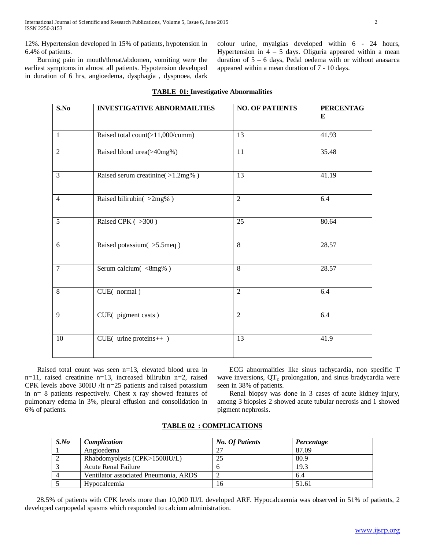12%. Hypertension developed in 15% of patients, hypotension in 6.4% of patients.

 Burning pain in mouth/throat/abdomen, vomiting were the earliest symptoms in almost all patients. Hypotension developed in duration of 6 hrs, angioedema, dysphagia , dyspnoea, dark colour urine, myalgias developed within 6 - 24 hours, Hypertension in  $4 - 5$  days. Oliguria appeared within a mean duration of  $5 - 6$  days, Pedal oedema with or without anasarca appeared within a mean duration of 7 - 10 days.

| $\overline{\mathbf{S}}$ . No | <b>INVESTIGATIVE ABNORMAILTIES</b> | <b>NO. OF PATIENTS</b> | <b>PERCENTAG</b><br>E |
|------------------------------|------------------------------------|------------------------|-----------------------|
| $\mathbf{1}$                 | Raised total count(>11,000/cumm)   | 13                     | 41.93                 |
| $\overline{2}$               | Raised blood urea(>40mg%)          | 11                     | 35.48                 |
| $\overline{3}$               | Raised serum creatinine(>1.2mg%)   | $\overline{13}$        | 41.19                 |
| $\overline{4}$               | Raised bilirubin(>2mg%)            | $\overline{2}$         | 6.4                   |
| $\overline{5}$               | Raised CPK (>300)                  | $\overline{25}$        | 80.64                 |
| 6                            | Raised potassium(>5.5meq)          | 8                      | 28.57                 |
| $\overline{7}$               | Serum calcium(<8mg%)               | 8                      | 28.57                 |
| $\overline{8}$               | CUE(normal)                        | $\overline{2}$         | 6.4                   |
| 9                            | CUE(pigment casts)                 | $\overline{2}$         | 6.4                   |
| 10                           | CUE( urine proteins++ )            | $\overline{13}$        | 41.9                  |

## **TABLE 01: Investigative Abnormalities**

 Raised total count was seen n=13, elevated blood urea in n=11, raised creatinine n=13, increased bilirubin n=2, raised CPK levels above 300IU /lt n=25 patients and raised potassium in n= 8 patients respectively. Chest x ray showed features of pulmonary edema in 3%, pleural effusion and consolidation in 6% of patients.

 ECG abnormalities like sinus tachycardia, non specific T wave inversions,  $QT<sub>c</sub>$  prolongation, and sinus bradycardia were seen in 38% of patients.

 Renal biopsy was done in 3 cases of acute kidney injury, among 3 biopsies 2 showed acute tubular necrosis and 1 showed pigment nephrosis.

| $S$ .No        | Complication                          | <b>No. Of Patients</b> | Percentage |
|----------------|---------------------------------------|------------------------|------------|
|                | Angioedema                            | ാ7                     | 87.09      |
|                | Rhabdomyolysis (CPK>1500IU/L)         | 25                     | 80.9       |
|                | <b>Acute Renal Failure</b>            |                        | 19.3       |
| $\overline{4}$ | Ventilator associated Pneumonia, ARDS |                        | 6.4        |
|                | <b>Hypocalcemia</b>                   | 16                     | 51.61      |

## **TABLE 02 : COMPLICATIONS**

 28.5% of patients with CPK levels more than 10,000 IU/L developed ARF. Hypocalcaemia was observed in 51% of patients, 2 developed carpopedal spasms which responded to calcium administration.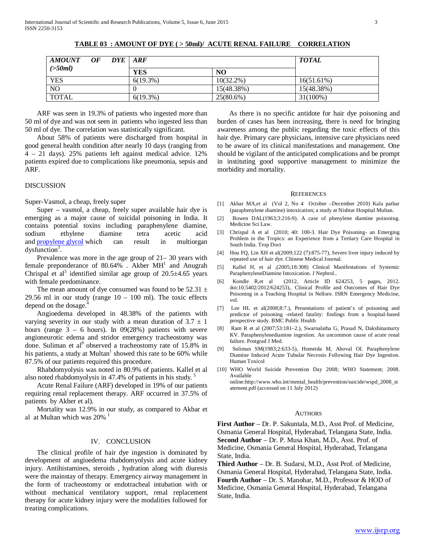| AMOUNT OF DYE ARF |  |             |                | <b>TOTAL</b> |
|-------------------|--|-------------|----------------|--------------|
| ( >50ml)          |  | <b>YES</b>  | N <sub>O</sub> |              |
| YES               |  | $6(19.3\%)$ | $10(32.2\%)$   | 16(51.61%)   |
| <b>NO</b>         |  |             | 15(48.38%)     | 15(48.38%)   |
| <b>TOTAL</b>      |  | $6(19.3\%)$ | 25(80.6%)      | $31(100\%)$  |

**TABLE 03 : AMOUNT OF DYE ( > 50ml)/ ACUTE RENAL FAILURE CORRELATION**

 ARF was seen in 19.3% of patients who ingested more than 50 ml of dye and was not seen in patients who ingested less than 50 ml of dye. The correlation was statistically significant.

 About 58% of patients were discharged from hospital in good general health condition after nearly 10 days (ranging from 4 – 21 days). 25% patients left against medical advice. 12% patients expired due to complications like pneumonia, sepsis and ARF.

#### DISCUSSION

Super-Vasmol, a cheap, freely super

 Super – vasmol, a cheap, freely super available hair dye is emerging as a major cause of suicidal poisoning in India. It contains potential toxins including paraphenylene diamine, sodium ethylene diamine tetra acetic acid and **[propylene](http://www.wikigenes.org/e/chem/e/1030.html) glycol** which can result in multiorgan  $dy$ sfunction<sup>3</sup>.

 Prevalence was more in the age group of 21– 30 years with female preponderance of  $80.64\%$ . Akber MH<sup>1</sup> and Anugrah Chrispal et al<sup>3</sup> identified similar age group of  $20.5\pm4.65$  years with female predominance.

The mean amount of dye consumed was found to be  $52.31 \pm$ 29.56 ml in our study (range  $10 - 100$  ml). The toxic effects depend on the dosage.

 Angioedema developed in 48.38% of the patients with varying severity in our study with a mean duration of  $3.7 \pm 1$ hours (range  $3 - 6$  hours). In 09(28%) patients with severe angioneurotic edema and stridor emergency tracheostomy was done. Suliman et al<sup>9</sup> observed a tracheostomy rate of 15.8% in his patients, a study at Multan<sup> $\pm$ </sup> showed this rate to be 60% while 87.5% of our patients required this procedure.

 Rhabdomyolysis was noted in 80.9% of patients. Kallel et al also noted rhabdomyolysis in 47.4% of patients in his study.<sup>5</sup>

 Acute Renal Failure (ARF) developed in 19% of our patients requiring renal replacement therapy. ARF occurred in 37.5% of patients by Akber et al).

 Mortality was 12.9% in our study, as compared to Akbar et al at Multan which was  $20\%$ <sup>1</sup>

#### IV. CONCLUSION

 The clinical profile of hair dye ingestion is dominated by development of angioedema rhabdomyolysis and acute kidney injury. Antihistamines, steroids , hydration along with diuresis were the mainstay of therapy. Emergency airway management in the form of tracheostomy or endotracheal intubation with or without mechanical ventilatory support, renal replacement therapy for acute kidney injury were the modalities followed for treating complications.

 As there is no specific antidote for hair dye poisoning and burden of cases has been increasing, there is need for bringing awareness among the public regarding the toxic effects of this hair dye. Primary care physicians, intensive care physicians need to be aware of its clinical manifestations and management. One should be vigilant of the anticipated complications and be prompt in instituting good supportive management to minimize the morbidity and mortality.

#### **REFERENCES**

- [1] Akbar MA,et al (Vol 2, No 4 October –December 2010) Kala pathar (paraphenylene diamine) intoxication; a study at Nishtar Hospital Multan.
- [2] Bowen DAL(1963;3:216-9). A case of phenylene diamine poisoning. Medicine Sci Law.
- [3] Chrispal A et al (2010; 40: 100-3. Hair Dye Poisoning- an Emerging Problem in the Tropics: an Experience from a Tertiary Care Hospital in South India. Trop Doct
- [4] Hou FQ, Lin XH et al(2009;122 (7):875-77), Severe liver injury induced by repeated use of hair dye. Chinese Medical Journal.
- [5] Kallel H, et al ,(2005;18:308) Clinical Manifestations of Systemic ParaphenyleneDiamine Intoxication. J Nephrol..
- [6] Kondle R,et al (2012, Article ID 624253, 5 pages, 2012. doi:10.5402/2012/624253),. Clinical Profile and Outcomes of Hair Dye Poisoning in a Teaching Hospital in Nellore. ISRN Emergency Medicine, vol.
- [7] Lee HL et al(2008;8:7.), Presentations of patient's of poisoning and predictor of poisoning -related fatality: findings from a hospital-based prospective study. BMC Public Health
- [8] Ram R et al (2007;53:181–2.), Swarnalatha G, Prasad N, Dakshinamurty KV. Paraphenylenediamine ingestion. An uncommon cause of acute renal failure. Postgrad J Med.
- [9] Suliman SM(1983;2:633-5), Homeida M, Aboval OI. Paraphenylene Diamine Induced Acute Tubular Necrosis Following Hair Dye Ingestion. Human Toxicol
- [10] WHO World Suicide Prevention Day 2008; WHO Statement; 2008. Available

online:http://www.who.int/mental\_health/prevention/suicide/wspd\_2008\_st atement.pdf (accessed on 11 July 2012)

#### AUTHORS

**First Author** – Dr. P. Sakuntala, M.D., Asst Prof. of Medicine, Osmania General Hospital, Hyderabad, Telangana State, India. **Second Author** – Dr. P. Musa Khan, M.D., Asst. Prof. of Medicine, Osmania General Hospital, Hyderabad, Telangana State, India.

**Third Author** – Dr. B. Sudarsi, M.D., Asst Prof. of Medicine, Osmania General Hospital, Hyderabad, Telangana State, India. **Fourth Author** – Dr. S. Manohar, M.D., Professor & HOD of Medicine, Osmania General Hospital, Hyderabad, Telangana State, India.